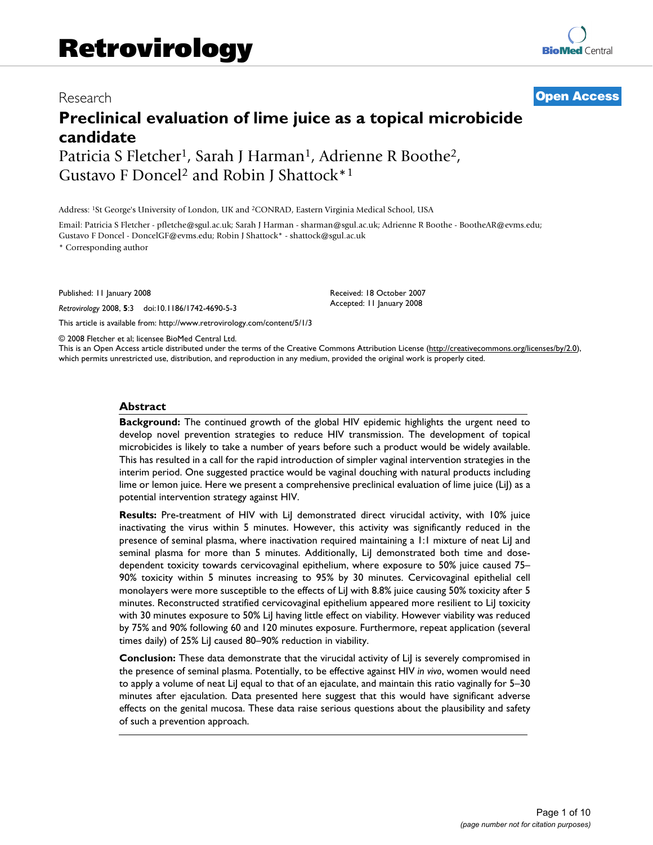# Research **[Open Access](http://www.biomedcentral.com/info/about/charter/)**

# **Preclinical evaluation of lime juice as a topical microbicide candidate**

Patricia S Fletcher<sup>1</sup>, Sarah J Harman<sup>1</sup>, Adrienne R Boothe<sup>2</sup>, Gustavo F Doncel2 and Robin J Shattock\*1

Address: 1St George's University of London, UK and 2CONRAD, Eastern Virginia Medical School, USA

Email: Patricia S Fletcher - pfletche@sgul.ac.uk; Sarah J Harman - sharman@sgul.ac.uk; Adrienne R Boothe - BootheAR@evms.edu; Gustavo F Doncel - DoncelGF@evms.edu; Robin J Shattock\* - shattock@sgul.ac.uk

\* Corresponding author

Published: 11 January 2008

*Retrovirology* 2008, **5**:3 doi:10.1186/1742-4690-5-3

[This article is available from: http://www.retrovirology.com/content/5/1/3](http://www.retrovirology.com/content/5/1/3)

© 2008 Fletcher et al; licensee BioMed Central Ltd.

This is an Open Access article distributed under the terms of the Creative Commons Attribution License [\(http://creativecommons.org/licenses/by/2.0\)](http://creativecommons.org/licenses/by/2.0), which permits unrestricted use, distribution, and reproduction in any medium, provided the original work is properly cited.

Received: 18 October 2007 Accepted: 11 January 2008

#### **Abstract**

**Background:** The continued growth of the global HIV epidemic highlights the urgent need to develop novel prevention strategies to reduce HIV transmission. The development of topical microbicides is likely to take a number of years before such a product would be widely available. This has resulted in a call for the rapid introduction of simpler vaginal intervention strategies in the interim period. One suggested practice would be vaginal douching with natural products including lime or lemon juice. Here we present a comprehensive preclinical evaluation of lime juice (LiJ) as a potential intervention strategy against HIV.

**Results:** Pre-treatment of HIV with LiJ demonstrated direct virucidal activity, with 10% juice inactivating the virus within 5 minutes. However, this activity was significantly reduced in the presence of seminal plasma, where inactivation required maintaining a 1:1 mixture of neat LiJ and seminal plasma for more than 5 minutes. Additionally, LiJ demonstrated both time and dosedependent toxicity towards cervicovaginal epithelium, where exposure to 50% juice caused 75– 90% toxicity within 5 minutes increasing to 95% by 30 minutes. Cervicovaginal epithelial cell monolayers were more susceptible to the effects of LiJ with 8.8% juice causing 50% toxicity after 5 minutes. Reconstructed stratified cervicovaginal epithelium appeared more resilient to LiJ toxicity with 30 minutes exposure to 50% LiJ having little effect on viability. However viability was reduced by 75% and 90% following 60 and 120 minutes exposure. Furthermore, repeat application (several times daily) of 25% LiJ caused 80–90% reduction in viability.

**Conclusion:** These data demonstrate that the virucidal activity of LiJ is severely compromised in the presence of seminal plasma. Potentially, to be effective against HIV *in vivo*, women would need to apply a volume of neat LiJ equal to that of an ejaculate, and maintain this ratio vaginally for 5–30 minutes after ejaculation. Data presented here suggest that this would have significant adverse effects on the genital mucosa. These data raise serious questions about the plausibility and safety of such a prevention approach.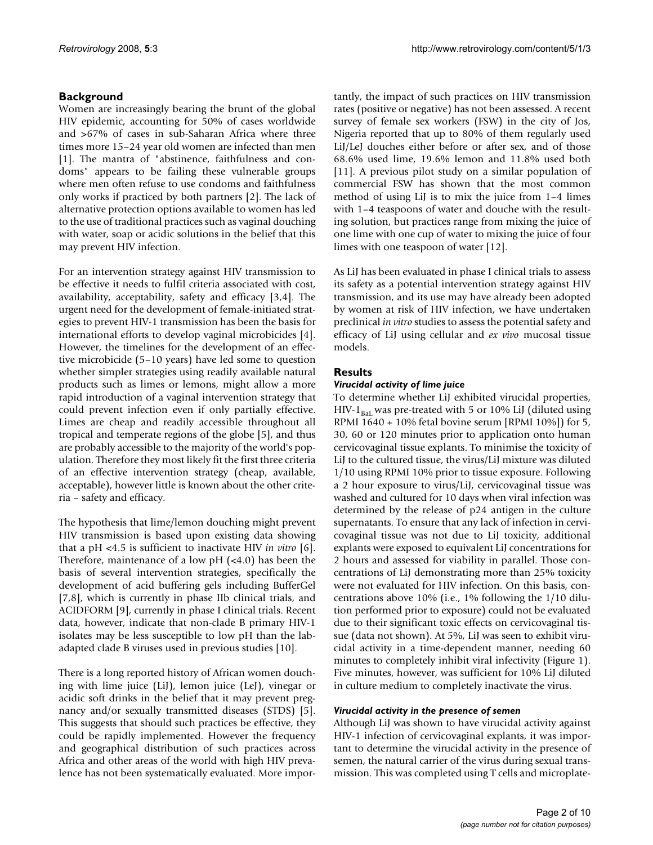# **Background**

Women are increasingly bearing the brunt of the global HIV epidemic, accounting for 50% of cases worldwide and >67% of cases in sub-Saharan Africa where three times more 15–24 year old women are infected than men [1]. The mantra of "abstinence, faithfulness and condoms" appears to be failing these vulnerable groups where men often refuse to use condoms and faithfulness only works if practiced by both partners [2]. The lack of alternative protection options available to women has led to the use of traditional practices such as vaginal douching with water, soap or acidic solutions in the belief that this may prevent HIV infection.

For an intervention strategy against HIV transmission to be effective it needs to fulfil criteria associated with cost, availability, acceptability, safety and efficacy [3,4]. The urgent need for the development of female-initiated strategies to prevent HIV-1 transmission has been the basis for international efforts to develop vaginal microbicides [4]. However, the timelines for the development of an effective microbicide (5–10 years) have led some to question whether simpler strategies using readily available natural products such as limes or lemons, might allow a more rapid introduction of a vaginal intervention strategy that could prevent infection even if only partially effective. Limes are cheap and readily accessible throughout all tropical and temperate regions of the globe [5], and thus are probably accessible to the majority of the world's population. Therefore they most likely fit the first three criteria of an effective intervention strategy (cheap, available, acceptable), however little is known about the other criteria – safety and efficacy.

The hypothesis that lime/lemon douching might prevent HIV transmission is based upon existing data showing that a pH <4.5 is sufficient to inactivate HIV *in vitro* [6]. Therefore, maintenance of a low  $pH$  (<4.0) has been the basis of several intervention strategies, specifically the development of acid buffering gels including BufferGel [7,8], which is currently in phase IIb clinical trials, and ACIDFORM [9], currently in phase I clinical trials. Recent data, however, indicate that non-clade B primary HIV-1 isolates may be less susceptible to low pH than the labadapted clade B viruses used in previous studies [10].

There is a long reported history of African women douching with lime juice (LiJ), lemon juice (LeJ), vinegar or acidic soft drinks in the belief that it may prevent pregnancy and/or sexually transmitted diseases (STDS) [5]. This suggests that should such practices be effective, they could be rapidly implemented. However the frequency and geographical distribution of such practices across Africa and other areas of the world with high HIV prevalence has not been systematically evaluated. More importantly, the impact of such practices on HIV transmission rates (positive or negative) has not been assessed. A recent survey of female sex workers (FSW) in the city of Jos, Nigeria reported that up to 80% of them regularly used LiJ/LeJ douches either before or after sex, and of those 68.6% used lime, 19.6% lemon and 11.8% used both [11]. A previous pilot study on a similar population of commercial FSW has shown that the most common method of using LiJ is to mix the juice from 1–4 limes with 1–4 teaspoons of water and douche with the resulting solution, but practices range from mixing the juice of one lime with one cup of water to mixing the juice of four limes with one teaspoon of water [12].

As LiJ has been evaluated in phase I clinical trials to assess its safety as a potential intervention strategy against HIV transmission, and its use may have already been adopted by women at risk of HIV infection, we have undertaken preclinical *in vitro* studies to assess the potential safety and efficacy of LiJ using cellular and *ex vivo* mucosal tissue models.

# **Results**

# *Virucidal activity of lime juice*

To determine whether LiJ exhibited virucidal properties, HIV-1 $_{\text{Bal}}$  was pre-treated with 5 or 10% LiJ (diluted using RPMI 1640 + 10% fetal bovine serum [RPMI 10%]) for 5, 30, 60 or 120 minutes prior to application onto human cervicovaginal tissue explants. To minimise the toxicity of LiJ to the cultured tissue, the virus/LiJ mixture was diluted 1/10 using RPMI 10% prior to tissue exposure. Following a 2 hour exposure to virus/LiJ, cervicovaginal tissue was washed and cultured for 10 days when viral infection was determined by the release of p24 antigen in the culture supernatants. To ensure that any lack of infection in cervicovaginal tissue was not due to LiJ toxicity, additional explants were exposed to equivalent LiJ concentrations for 2 hours and assessed for viability in parallel. Those concentrations of LiJ demonstrating more than 25% toxicity were not evaluated for HIV infection. On this basis, concentrations above 10% (i.e., 1% following the 1/10 dilution performed prior to exposure) could not be evaluated due to their significant toxic effects on cervicovaginal tissue (data not shown). At 5%, LiJ was seen to exhibit virucidal activity in a time-dependent manner, needing 60 minutes to completely inhibit viral infectivity (Figure 1). Five minutes, however, was sufficient for 10% LiJ diluted in culture medium to completely inactivate the virus.

#### *Virucidal activity in the presence of semen*

Although LiJ was shown to have virucidal activity against HIV-1 infection of cervicovaginal explants, it was important to determine the virucidal activity in the presence of semen, the natural carrier of the virus during sexual transmission. This was completed using T cells and microplate-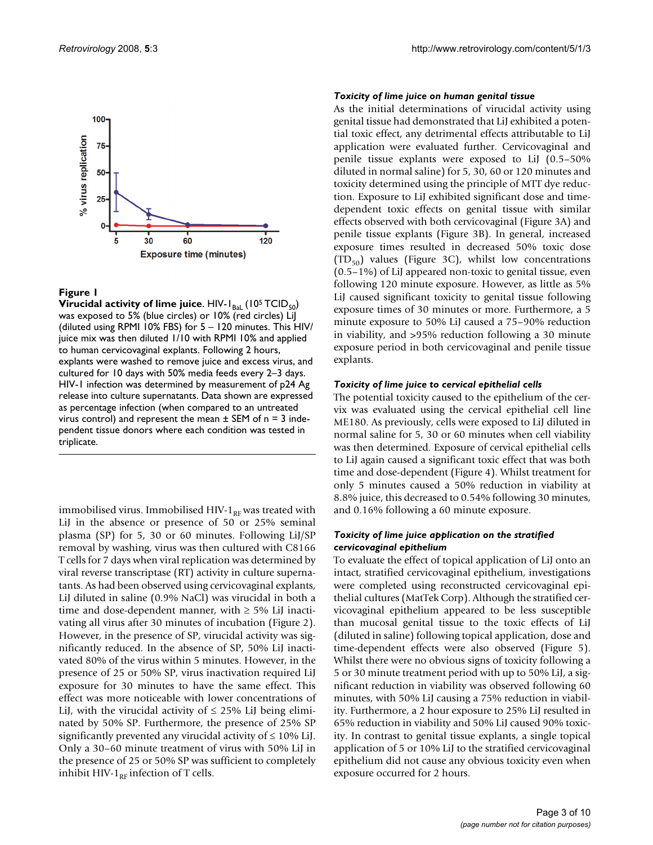

**Virucidal activity of lime juice**. HIV-I<sub>BaL</sub> (10<sup>5</sup> TCID<sub>50</sub>) was exposed to 5% (blue circles) or 10% (red circles) LiJ (diluted using RPMI 10% FBS) for 5 – 120 minutes. This HIV/ juice mix was then diluted 1/10 with RPMI 10% and applied to human cervicovaginal explants. Following 2 hours, explants were washed to remove juice and excess virus, and cultured for 10 days with 50% media feeds every 2–3 days. HIV-1 infection was determined by measurement of p24 Ag release into culture supernatants. Data shown are expressed as percentage infection (when compared to an untreated virus control) and represent the mean  $\pm$  SEM of n = 3 independent tissue donors where each condition was tested in triplicate.

immobilised virus. Immobilised HIV- $1_{RF}$  was treated with LiJ in the absence or presence of 50 or 25% seminal plasma (SP) for 5, 30 or 60 minutes. Following LiJ/SP removal by washing, virus was then cultured with C8166 T cells for 7 days when viral replication was determined by viral reverse transcriptase (RT) activity in culture supernatants. As had been observed using cervicovaginal explants, LiJ diluted in saline (0.9% NaCl) was virucidal in both a time and dose-dependent manner, with  $\geq$  5% LiJ inactivating all virus after 30 minutes of incubation (Figure 2). However, in the presence of SP, virucidal activity was significantly reduced. In the absence of SP, 50% LiJ inactivated 80% of the virus within 5 minutes. However, in the presence of 25 or 50% SP, virus inactivation required LiJ exposure for 30 minutes to have the same effect. This effect was more noticeable with lower concentrations of LiJ, with the virucidal activity of  $\leq$  25% LiJ being eliminated by 50% SP. Furthermore, the presence of 25% SP significantly prevented any virucidal activity of  $\leq 10\%$  LiJ. Only a 30–60 minute treatment of virus with 50% LiJ in the presence of 25 or 50% SP was sufficient to completely inhibit HIV-1 $_{RF}$  infection of T cells.

#### *Toxicity of lime juice on human genital tissue*

As the initial determinations of virucidal activity using genital tissue had demonstrated that LiJ exhibited a potential toxic effect, any detrimental effects attributable to LiJ application were evaluated further. Cervicovaginal and penile tissue explants were exposed to LiJ (0.5–50% diluted in normal saline) for 5, 30, 60 or 120 minutes and toxicity determined using the principle of MTT dye reduction. Exposure to LiJ exhibited significant dose and timedependent toxic effects on genital tissue with similar effects observed with both cervicovaginal (Figure 3A) and penile tissue explants (Figure 3B). In general, increased exposure times resulted in decreased 50% toxic dose  $(TD_{50})$  values (Figure 3C), whilst low concentrations (0.5–1%) of LiJ appeared non-toxic to genital tissue, even following 120 minute exposure. However, as little as 5% LiJ caused significant toxicity to genital tissue following exposure times of 30 minutes or more. Furthermore, a 5 minute exposure to 50% LiJ caused a 75–90% reduction in viability, and >95% reduction following a 30 minute exposure period in both cervicovaginal and penile tissue explants.

#### *Toxicity of lime juice to cervical epithelial cells*

The potential toxicity caused to the epithelium of the cervix was evaluated using the cervical epithelial cell line ME180. As previously, cells were exposed to LiJ diluted in normal saline for 5, 30 or 60 minutes when cell viability was then determined. Exposure of cervical epithelial cells to LiJ again caused a significant toxic effect that was both time and dose-dependent (Figure 4). Whilst treatment for only 5 minutes caused a 50% reduction in viability at 8.8% juice, this decreased to 0.54% following 30 minutes, and 0.16% following a 60 minute exposure.

#### *Toxicity of lime juice application on the stratified cervicovaginal epithelium*

To evaluate the effect of topical application of LiJ onto an intact, stratified cervicovaginal epithelium, investigations were completed using reconstructed cervicovaginal epithelial cultures (MatTek Corp). Although the stratified cervicovaginal epithelium appeared to be less susceptible than mucosal genital tissue to the toxic effects of LiJ (diluted in saline) following topical application, dose and time-dependent effects were also observed (Figure 5). Whilst there were no obvious signs of toxicity following a 5 or 30 minute treatment period with up to 50% LiJ, a significant reduction in viability was observed following 60 minutes, with 50% LiJ causing a 75% reduction in viability. Furthermore, a 2 hour exposure to 25% LiJ resulted in 65% reduction in viability and 50% LiJ caused 90% toxicity. In contrast to genital tissue explants, a single topical application of 5 or 10% LiJ to the stratified cervicovaginal epithelium did not cause any obvious toxicity even when exposure occurred for 2 hours.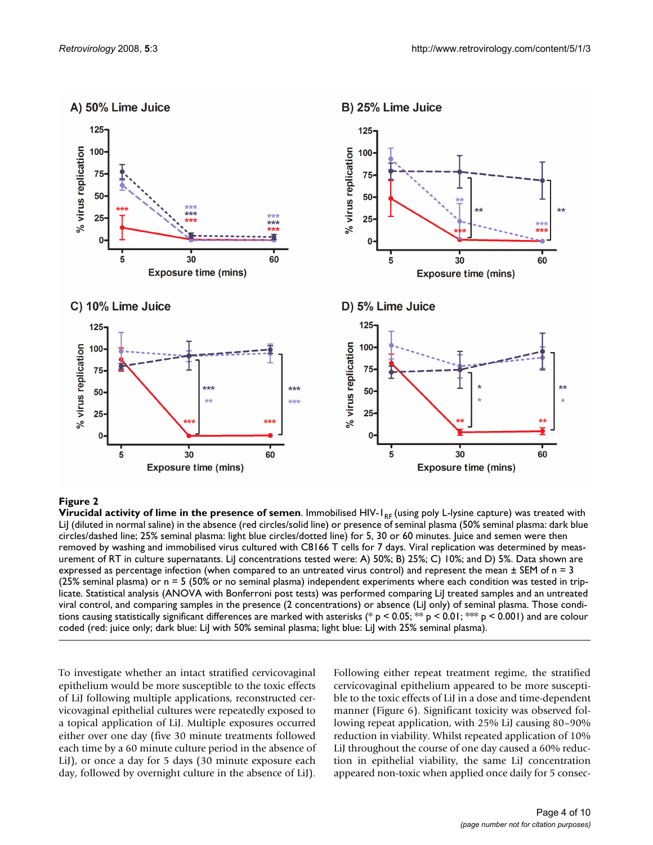

B) 25% Lime Juice



**Virucidal activity of lime in the presence of semen**. Immobilised HIV-1<sub>RF</sub> (using poly L-lysine capture) was treated with LiJ (diluted in normal saline) in the absence (red circles/solid line) or presence of seminal plasma (50% seminal plasma: dark blue circles/dashed line; 25% seminal plasma: light blue circles/dotted line) for 5, 30 or 60 minutes. Juice and semen were then removed by washing and immobilised virus cultured with C8166 T cells for 7 days. Viral replication was determined by measurement of RT in culture supernatants. LiJ concentrations tested were: A) 50%; B) 25%; C) 10%; and D) 5%. Data shown are expressed as percentage infection (when compared to an untreated virus control) and represent the mean  $\pm$  SEM of n = 3 (25% seminal plasma) or n = 5 (50% or no seminal plasma) independent experiments where each condition was tested in triplicate. Statistical analysis (ANOVA with Bonferroni post tests) was performed comparing LiJ treated samples and an untreated viral control, and comparing samples in the presence (2 concentrations) or absence (LiJ only) of seminal plasma. Those conditions causing statistically significant differences are marked with asterisks (\* p < 0.05; \*\* p < 0.01; \*\* p < 0.001) and are colour coded (red: juice only; dark blue: LiJ with 50% seminal plasma; light blue: LiJ with 25% seminal plasma).

To investigate whether an intact stratified cervicovaginal epithelium would be more susceptible to the toxic effects of LiJ following multiple applications, reconstructed cervicovaginal epithelial cultures were repeatedly exposed to a topical application of LiJ. Multiple exposures occurred either over one day (five 30 minute treatments followed each time by a 60 minute culture period in the absence of LiJ), or once a day for 5 days (30 minute exposure each day, followed by overnight culture in the absence of LiJ).

Following either repeat treatment regime, the stratified cervicovaginal epithelium appeared to be more susceptible to the toxic effects of LiJ in a dose and time-dependent manner (Figure 6). Significant toxicity was observed following repeat application, with 25% LiJ causing 80–90% reduction in viability. Whilst repeated application of 10% LiJ throughout the course of one day caused a 60% reduction in epithelial viability, the same LiJ concentration appeared non-toxic when applied once daily for 5 consec-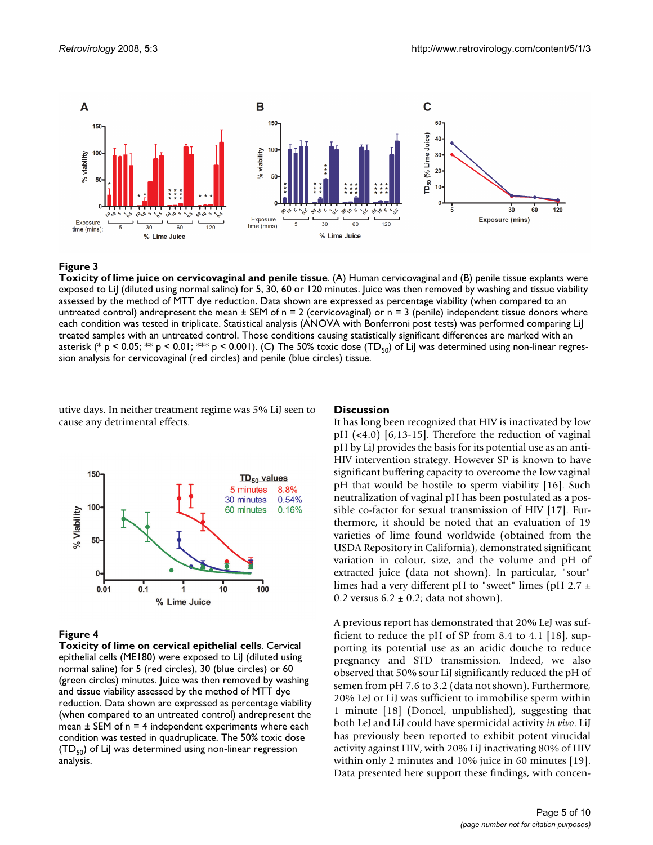

**Toxicity of lime juice on cervicovaginal and penile tissue**. (A) Human cervicovaginal and (B) penile tissue explants were exposed to LiJ (diluted using normal saline) for 5, 30, 60 or 120 minutes. Juice was then removed by washing and tissue viability assessed by the method of MTT dye reduction. Data shown are expressed as percentage viability (when compared to an untreated control) andrepresent the mean  $\pm$  SEM of n = 2 (cervicovaginal) or n = 3 (penile) independent tissue donors where each condition was tested in triplicate. Statistical analysis (ANOVA with Bonferroni post tests) was performed comparing LiJ treated samples with an untreated control. Those conditions causing statistically significant differences are marked with an asterisk (\* p < 0.05; \*\* p < 0.01; \*\* p < 0.001). (C) The 50% toxic dose (TD<sub>50</sub>) of LiJ was determined using non-linear regression analysis for cervicovaginal (red circles) and penile (blue circles) tissue.

utive days. In neither treatment regime was 5% LiJ seen to cause any detrimental effects.





# Figure 4

**Toxicity of lime on cervical epithelial cells**. Cervical epithelial cells (ME180) were exposed to LiJ (diluted using normal saline) for 5 (red circles), 30 (blue circles) or 60 (green circles) minutes. Juice was then removed by washing and tissue viability assessed by the method of MTT dye reduction. Data shown are expressed as percentage viability (when compared to an untreated control) andrepresent the mean  $\pm$  SEM of n = 4 independent experiments where each condition was tested in quadruplicate. The 50% toxic dose  $(TD_{50})$  of LiJ was determined using non-linear regression analysis.

It has long been recognized that HIV is inactivated by low pH (<4.0) [6,13-15]. Therefore the reduction of vaginal pH by LiJ provides the basis for its potential use as an anti-HIV intervention strategy. However SP is known to have significant buffering capacity to overcome the low vaginal pH that would be hostile to sperm viability [16]. Such neutralization of vaginal pH has been postulated as a possible co-factor for sexual transmission of HIV [17]. Furthermore, it should be noted that an evaluation of 19 varieties of lime found worldwide (obtained from the USDA Repository in California), demonstrated significant variation in colour, size, and the volume and pH of extracted juice (data not shown). In particular, "sour" limes had a very different pH to "sweet" limes (pH 2.7  $\pm$ 0.2 versus  $6.2 \pm 0.2$ ; data not shown).

A previous report has demonstrated that 20% LeJ was sufficient to reduce the pH of SP from 8.4 to 4.1 [18], supporting its potential use as an acidic douche to reduce pregnancy and STD transmission. Indeed, we also observed that 50% sour LiJ significantly reduced the pH of semen from pH 7.6 to 3.2 (data not shown). Furthermore, 20% LeJ or LiJ was sufficient to immobilise sperm within 1 minute [18] (Doncel, unpublished), suggesting that both LeJ and LiJ could have spermicidal activity *in vivo*. LiJ has previously been reported to exhibit potent virucidal activity against HIV, with 20% LiJ inactivating 80% of HIV within only 2 minutes and 10% juice in 60 minutes [19]. Data presented here support these findings, with concen-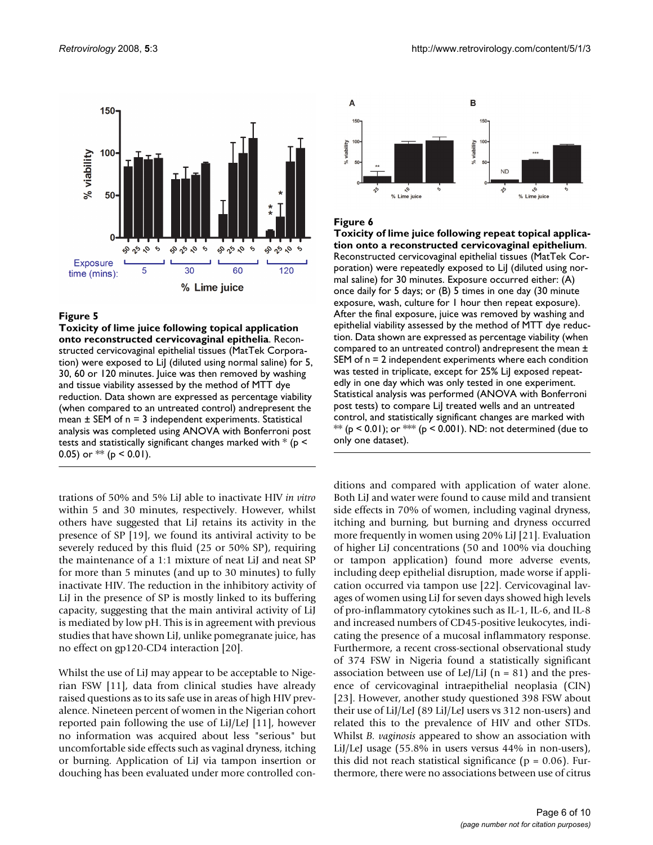

**Toxicity of lime juice following topical application onto reconstructed cervicovaginal epithelia**. Reconstructed cervicovaginal epithelial tissues (MatTek Corporation) were exposed to LiJ (diluted using normal saline) for 5, 30, 60 or 120 minutes. Juice was then removed by washing and tissue viability assessed by the method of MTT dye reduction. Data shown are expressed as percentage viability (when compared to an untreated control) andrepresent the mean  $\pm$  SEM of  $n = 3$  independent experiments. Statistical analysis was completed using ANOVA with Bonferroni post tests and statistically significant changes marked with  $*$  ( $p$  < 0.05) or  $**$  (p < 0.01).

trations of 50% and 5% LiJ able to inactivate HIV *in vitro* within 5 and 30 minutes, respectively. However, whilst others have suggested that LiJ retains its activity in the presence of SP [19], we found its antiviral activity to be severely reduced by this fluid (25 or 50% SP), requiring the maintenance of a 1:1 mixture of neat LiJ and neat SP for more than 5 minutes (and up to 30 minutes) to fully inactivate HIV. The reduction in the inhibitory activity of LiJ in the presence of SP is mostly linked to its buffering capacity, suggesting that the main antiviral activity of LiJ is mediated by low pH. This is in agreement with previous studies that have shown LiJ, unlike pomegranate juice, has no effect on gp120-CD4 interaction [20].

Whilst the use of LiJ may appear to be acceptable to Nigerian FSW [11], data from clinical studies have already raised questions as to its safe use in areas of high HIV prevalence. Nineteen percent of women in the Nigerian cohort reported pain following the use of LiJ/LeJ [11], however no information was acquired about less "serious" but uncomfortable side effects such as vaginal dryness, itching or burning. Application of LiJ via tampon insertion or douching has been evaluated under more controlled con-



## Figure 6

**Toxicity of lime juice following repeat topical application onto a reconstructed cervicovaginal epithelium**. Reconstructed cervicovaginal epithelial tissues (MatTek Corporation) were repeatedly exposed to LiJ (diluted using normal saline) for 30 minutes. Exposure occurred either: (A) once daily for 5 days; or (B) 5 times in one day (30 minute exposure, wash, culture for 1 hour then repeat exposure). After the final exposure, juice was removed by washing and epithelial viability assessed by the method of MTT dye reduction. Data shown are expressed as percentage viability (when compared to an untreated control) andrepresent the mean ± SEM of n = 2 independent experiments where each condition was tested in triplicate, except for 25% LiJ exposed repeatedly in one day which was only tested in one experiment. Statistical analysis was performed (ANOVA with Bonferroni post tests) to compare LiJ treated wells and an untreated control, and statistically significant changes are marked with  $**$  (p < 0.01); or  $**$  (p < 0.001). ND: not determined (due to only one dataset).

ditions and compared with application of water alone. Both LiJ and water were found to cause mild and transient side effects in 70% of women, including vaginal dryness, itching and burning, but burning and dryness occurred more frequently in women using 20% LiJ [21]. Evaluation of higher LiJ concentrations (50 and 100% via douching or tampon application) found more adverse events, including deep epithelial disruption, made worse if application occurred via tampon use [22]. Cervicovaginal lavages of women using LiJ for seven days showed high levels of pro-inflammatory cytokines such as IL-1, IL-6, and IL-8 and increased numbers of CD45-positive leukocytes, indicating the presence of a mucosal inflammatory response. Furthermore, a recent cross-sectional observational study of 374 FSW in Nigeria found a statistically significant association between use of LeJ/LiJ ( $n = 81$ ) and the presence of cervicovaginal intraepithelial neoplasia (CIN) [23]. However, another study questioned 398 FSW about their use of LiJ/LeJ (89 LiJ/LeJ users vs 312 non-users) and related this to the prevalence of HIV and other STDs. Whilst *B. vaginosis* appeared to show an association with LiJ/LeJ usage (55.8% in users versus 44% in non-users), this did not reach statistical significance ( $p = 0.06$ ). Furthermore, there were no associations between use of citrus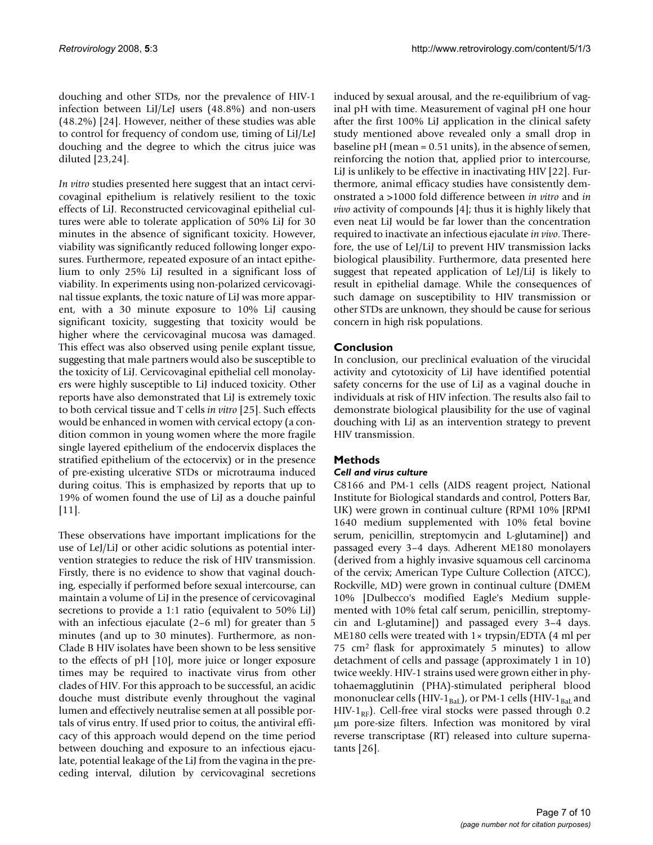douching and other STDs, nor the prevalence of HIV-1 infection between LiJ/LeJ users (48.8%) and non-users (48.2%) [24]. However, neither of these studies was able to control for frequency of condom use, timing of LiJ/LeJ douching and the degree to which the citrus juice was diluted [23,24].

*In vitro* studies presented here suggest that an intact cervicovaginal epithelium is relatively resilient to the toxic effects of LiJ. Reconstructed cervicovaginal epithelial cultures were able to tolerate application of 50% LiJ for 30 minutes in the absence of significant toxicity. However, viability was significantly reduced following longer exposures. Furthermore, repeated exposure of an intact epithelium to only 25% LiJ resulted in a significant loss of viability. In experiments using non-polarized cervicovaginal tissue explants, the toxic nature of LiJ was more apparent, with a 30 minute exposure to 10% LiJ causing significant toxicity, suggesting that toxicity would be higher where the cervicovaginal mucosa was damaged. This effect was also observed using penile explant tissue, suggesting that male partners would also be susceptible to the toxicity of LiJ. Cervicovaginal epithelial cell monolayers were highly susceptible to LiJ induced toxicity. Other reports have also demonstrated that LiJ is extremely toxic to both cervical tissue and T cells *in vitro* [25]. Such effects would be enhanced in women with cervical ectopy (a condition common in young women where the more fragile single layered epithelium of the endocervix displaces the stratified epithelium of the ectocervix) or in the presence of pre-existing ulcerative STDs or microtrauma induced during coitus. This is emphasized by reports that up to 19% of women found the use of LiJ as a douche painful [11].

These observations have important implications for the use of LeJ/LiJ or other acidic solutions as potential intervention strategies to reduce the risk of HIV transmission. Firstly, there is no evidence to show that vaginal douching, especially if performed before sexual intercourse, can maintain a volume of LiJ in the presence of cervicovaginal secretions to provide a 1:1 ratio (equivalent to 50% LiJ) with an infectious ejaculate (2–6 ml) for greater than 5 minutes (and up to 30 minutes). Furthermore, as non-Clade B HIV isolates have been shown to be less sensitive to the effects of pH [10], more juice or longer exposure times may be required to inactivate virus from other clades of HIV. For this approach to be successful, an acidic douche must distribute evenly throughout the vaginal lumen and effectively neutralise semen at all possible portals of virus entry. If used prior to coitus, the antiviral efficacy of this approach would depend on the time period between douching and exposure to an infectious ejaculate, potential leakage of the LiJ from the vagina in the preceding interval, dilution by cervicovaginal secretions induced by sexual arousal, and the re-equilibrium of vaginal pH with time. Measurement of vaginal pH one hour after the first 100% LiJ application in the clinical safety study mentioned above revealed only a small drop in baseline pH (mean = 0.51 units), in the absence of semen, reinforcing the notion that, applied prior to intercourse, LiJ is unlikely to be effective in inactivating HIV [22]. Furthermore, animal efficacy studies have consistently demonstrated a >1000 fold difference between *in vitro* and *in vivo* activity of compounds [4]; thus it is highly likely that even neat LiJ would be far lower than the concentration required to inactivate an infectious ejaculate *in vivo*. Therefore, the use of LeJ/LiJ to prevent HIV transmission lacks biological plausibility. Furthermore, data presented here suggest that repeated application of LeJ/LiJ is likely to result in epithelial damage. While the consequences of such damage on susceptibility to HIV transmission or other STDs are unknown, they should be cause for serious concern in high risk populations.

# **Conclusion**

In conclusion, our preclinical evaluation of the virucidal activity and cytotoxicity of LiJ have identified potential safety concerns for the use of LiJ as a vaginal douche in individuals at risk of HIV infection. The results also fail to demonstrate biological plausibility for the use of vaginal douching with LiJ as an intervention strategy to prevent HIV transmission.

# **Methods**

# *Cell and virus culture*

C8166 and PM-1 cells (AIDS reagent project, National Institute for Biological standards and control, Potters Bar, UK) were grown in continual culture (RPMI 10% [RPMI 1640 medium supplemented with 10% fetal bovine serum, penicillin, streptomycin and L-glutamine]) and passaged every 3–4 days. Adherent ME180 monolayers (derived from a highly invasive squamous cell carcinoma of the cervix; American Type Culture Collection (ATCC), Rockville, MD) were grown in continual culture (DMEM 10% [Dulbecco's modified Eagle's Medium supplemented with 10% fetal calf serum, penicillin, streptomycin and L-glutamine]) and passaged every 3–4 days. ME180 cells were treated with  $1 \times$  trypsin/EDTA (4 ml per 75 cm2 flask for approximately 5 minutes) to allow detachment of cells and passage (approximately 1 in 10) twice weekly. HIV-1 strains used were grown either in phytohaemagglutinin (PHA)-stimulated peripheral blood mononuclear cells (HIV-1 $_{\text{Bal}}$ ), or PM-1 cells (HIV-1 $_{\text{Bal}}$  and HIV-1<sub>RF</sub>). Cell-free viral stocks were passed through 0.2 μm pore-size filters. Infection was monitored by viral reverse transcriptase (RT) released into culture supernatants [26].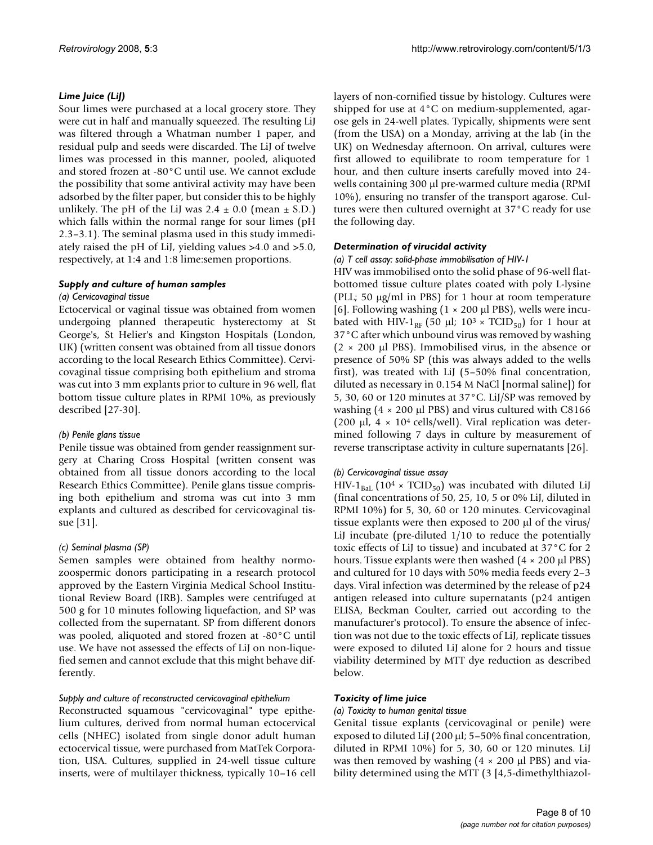# *Lime Juice (LiJ)*

Sour limes were purchased at a local grocery store. They were cut in half and manually squeezed. The resulting LiJ was filtered through a Whatman number 1 paper, and residual pulp and seeds were discarded. The LiJ of twelve limes was processed in this manner, pooled, aliquoted and stored frozen at -80°C until use. We cannot exclude the possibility that some antiviral activity may have been adsorbed by the filter paper, but consider this to be highly unlikely. The pH of the LiJ was  $2.4 \pm 0.0$  (mean  $\pm$  S.D.) which falls within the normal range for sour limes (pH 2.3–3.1). The seminal plasma used in this study immediately raised the pH of LiJ, yielding values >4.0 and >5.0, respectively, at 1:4 and 1:8 lime:semen proportions.

## *Supply and culture of human samples*

#### *(a) Cervicovaginal tissue*

Ectocervical or vaginal tissue was obtained from women undergoing planned therapeutic hysterectomy at St George's, St Helier's and Kingston Hospitals (London, UK) (written consent was obtained from all tissue donors according to the local Research Ethics Committee). Cervicovaginal tissue comprising both epithelium and stroma was cut into 3 mm explants prior to culture in 96 well, flat bottom tissue culture plates in RPMI 10%, as previously described [27-30].

# *(b) Penile glans tissue*

Penile tissue was obtained from gender reassignment surgery at Charing Cross Hospital (written consent was obtained from all tissue donors according to the local Research Ethics Committee). Penile glans tissue comprising both epithelium and stroma was cut into 3 mm explants and cultured as described for cervicovaginal tissue [31].

# *(c) Seminal plasma (SP)*

Semen samples were obtained from healthy normozoospermic donors participating in a research protocol approved by the Eastern Virginia Medical School Institutional Review Board (IRB). Samples were centrifuged at 500 g for 10 minutes following liquefaction, and SP was collected from the supernatant. SP from different donors was pooled, aliquoted and stored frozen at -80°C until use. We have not assessed the effects of LiJ on non-liquefied semen and cannot exclude that this might behave differently.

# *Supply and culture of reconstructed cervicovaginal epithelium*

Reconstructed squamous "cervicovaginal" type epithelium cultures, derived from normal human ectocervical cells (NHEC) isolated from single donor adult human ectocervical tissue, were purchased from MatTek Corporation, USA. Cultures, supplied in 24-well tissue culture inserts, were of multilayer thickness, typically 10–16 cell

layers of non-cornified tissue by histology. Cultures were shipped for use at 4°C on medium-supplemented, agarose gels in 24-well plates. Typically, shipments were sent (from the USA) on a Monday, arriving at the lab (in the UK) on Wednesday afternoon. On arrival, cultures were first allowed to equilibrate to room temperature for 1 hour, and then culture inserts carefully moved into 24 wells containing 300 μl pre-warmed culture media (RPMI 10%), ensuring no transfer of the transport agarose. Cultures were then cultured overnight at 37°C ready for use the following day.

## *Determination of virucidal activity*

#### *(a) T cell assay: solid-phase immobilisation of HIV-1*

HIV was immobilised onto the solid phase of 96-well flatbottomed tissue culture plates coated with poly L-lysine (PLL; 50 μg/ml in PBS) for 1 hour at room temperature [6]. Following washing  $(1 \times 200 \mu l$  PBS], wells were incubated with HIV-1<sub>RF</sub> (50 μl;  $10^3 \times \text{TCID}_{50}$ ) for 1 hour at 37°C after which unbound virus was removed by washing  $(2 \times 200 \mu l$  PBS). Immobilised virus, in the absence or presence of 50% SP (this was always added to the wells first), was treated with LiJ (5–50% final concentration, diluted as necessary in 0.154 M NaCl [normal saline]) for 5, 30, 60 or 120 minutes at 37°C. LiJ/SP was removed by washing  $(4 \times 200 \mu$  PBS) and virus cultured with C8166 (200  $\mu$ l, 4 × 10<sup>4</sup> cells/well). Viral replication was determined following 7 days in culture by measurement of reverse transcriptase activity in culture supernatants [26].

#### *(b) Cervicovaginal tissue assay*

HIV-1<sub>BaL</sub> (10<sup>4</sup> × TCID<sub>50</sub>) was incubated with diluted LiJ (final concentrations of 50, 25, 10, 5 or 0% LiJ, diluted in RPMI 10%) for 5, 30, 60 or 120 minutes. Cervicovaginal tissue explants were then exposed to 200 μl of the virus/ LiJ incubate (pre-diluted 1/10 to reduce the potentially toxic effects of LiJ to tissue) and incubated at 37°C for 2 hours. Tissue explants were then washed (4 × 200 μl PBS) and cultured for 10 days with 50% media feeds every 2–3 days. Viral infection was determined by the release of p24 antigen released into culture supernatants (p24 antigen ELISA, Beckman Coulter, carried out according to the manufacturer's protocol). To ensure the absence of infection was not due to the toxic effects of LiJ, replicate tissues were exposed to diluted LiJ alone for 2 hours and tissue viability determined by MTT dye reduction as described below.

#### *Toxicity of lime juice*

#### *(a) Toxicity to human genital tissue*

Genital tissue explants (cervicovaginal or penile) were exposed to diluted LiJ (200 μl; 5–50% final concentration, diluted in RPMI 10%) for 5, 30, 60 or 120 minutes. LiJ was then removed by washing  $(4 \times 200 \mu l$  PBS) and viability determined using the MTT (3 [4,5-dimethylthiazol-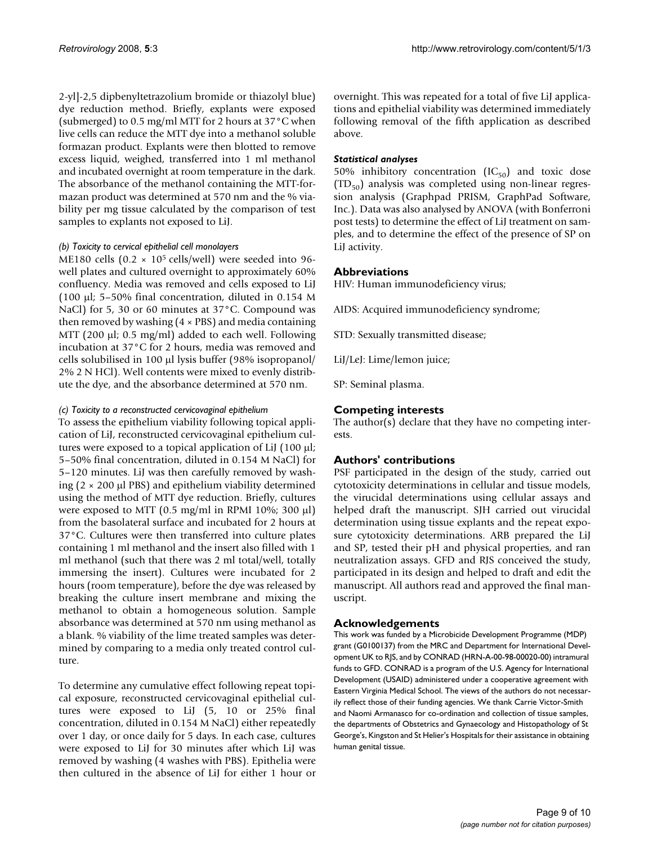2-yl]-2,5 dipbenyltetrazolium bromide or thiazolyl blue) dye reduction method. Briefly, explants were exposed (submerged) to 0.5 mg/ml MTT for 2 hours at 37°C when live cells can reduce the MTT dye into a methanol soluble formazan product. Explants were then blotted to remove excess liquid, weighed, transferred into 1 ml methanol and incubated overnight at room temperature in the dark. The absorbance of the methanol containing the MTT-formazan product was determined at 570 nm and the % viability per mg tissue calculated by the comparison of test samples to explants not exposed to LiJ.

#### *(b) Toxicity to cervical epithelial cell monolayers*

ME180 cells (0.2  $\times$  10<sup>5</sup> cells/well) were seeded into 96well plates and cultured overnight to approximately 60% confluency. Media was removed and cells exposed to LiJ (100 μl; 5–50% final concentration, diluted in 0.154 M NaCl) for 5, 30 or 60 minutes at 37°C. Compound was then removed by washing  $(4 \times PBS)$  and media containing MTT (200 μl; 0.5 mg/ml) added to each well. Following incubation at 37°C for 2 hours, media was removed and cells solubilised in 100 μl lysis buffer (98% isopropanol/ 2% 2 N HCl). Well contents were mixed to evenly distribute the dye, and the absorbance determined at 570 nm.

## *(c) Toxicity to a reconstructed cervicovaginal epithelium*

To assess the epithelium viability following topical application of LiJ, reconstructed cervicovaginal epithelium cultures were exposed to a topical application of LiJ (100 μl; 5–50% final concentration, diluted in 0.154 M NaCl) for 5–120 minutes. LiJ was then carefully removed by washing  $(2 \times 200 \mu l$  PBS) and epithelium viability determined using the method of MTT dye reduction. Briefly, cultures were exposed to MTT (0.5 mg/ml in RPMI 10%; 300 μl) from the basolateral surface and incubated for 2 hours at 37°C. Cultures were then transferred into culture plates containing 1 ml methanol and the insert also filled with 1 ml methanol (such that there was 2 ml total/well, totally immersing the insert). Cultures were incubated for 2 hours (room temperature), before the dye was released by breaking the culture insert membrane and mixing the methanol to obtain a homogeneous solution. Sample absorbance was determined at 570 nm using methanol as a blank. % viability of the lime treated samples was determined by comparing to a media only treated control culture.

To determine any cumulative effect following repeat topical exposure, reconstructed cervicovaginal epithelial cultures were exposed to LiJ (5, 10 or 25% final concentration, diluted in 0.154 M NaCl) either repeatedly over 1 day, or once daily for 5 days. In each case, cultures were exposed to LiJ for 30 minutes after which LiJ was removed by washing (4 washes with PBS). Epithelia were then cultured in the absence of LiJ for either 1 hour or overnight. This was repeated for a total of five LiJ applications and epithelial viability was determined immediately following removal of the fifth application as described above.

# *Statistical analyses*

50% inhibitory concentration  $(IC_{50})$  and toxic dose  $(TD_{50})$  analysis was completed using non-linear regression analysis (Graphpad PRISM, GraphPad Software, Inc.). Data was also analysed by ANOVA (with Bonferroni post tests) to determine the effect of LiJ treatment on samples, and to determine the effect of the presence of SP on LiJ activity.

# **Abbreviations**

HIV: Human immunodeficiency virus;

AIDS: Acquired immunodeficiency syndrome;

STD: Sexually transmitted disease;

LiJ/LeJ: Lime/lemon juice;

SP: Seminal plasma.

# **Competing interests**

The author(s) declare that they have no competing interests.

# **Authors' contributions**

PSF participated in the design of the study, carried out cytotoxicity determinations in cellular and tissue models, the virucidal determinations using cellular assays and helped draft the manuscript. SJH carried out virucidal determination using tissue explants and the repeat exposure cytotoxicity determinations. ARB prepared the LiJ and SP, tested their pH and physical properties, and ran neutralization assays. GFD and RJS conceived the study, participated in its design and helped to draft and edit the manuscript. All authors read and approved the final manuscript.

# **Acknowledgements**

This work was funded by a Microbicide Development Programme (MDP) grant (G0100137) from the MRC and Department for International Development UK to RJS, and by CONRAD (HRN-A-00-98-00020-00) intramural funds to GFD. CONRAD is a program of the U.S. Agency for International Development (USAID) administered under a cooperative agreement with Eastern Virginia Medical School. The views of the authors do not necessarily reflect those of their funding agencies. We thank Carrie Victor-Smith and Naomi Armanasco for co-ordination and collection of tissue samples, the departments of Obstetrics and Gynaecology and Histopathology of St George's, Kingston and St Helier's Hospitals for their assistance in obtaining human genital tissue.